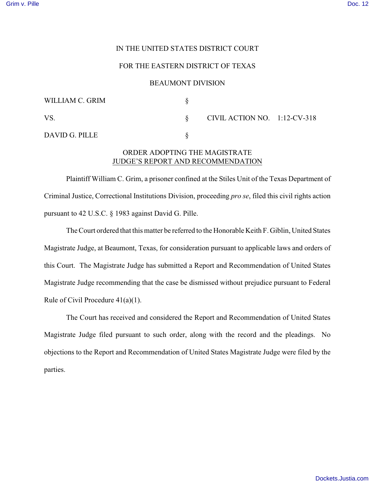## IN THE UNITED STATES DISTRICT COURT

### FOR THE EASTERN DISTRICT OF TEXAS

#### BEAUMONT DIVISION

| WILLIAM C. GRIM |                              |  |
|-----------------|------------------------------|--|
| VS.             | CIVIL ACTION NO. 1:12-CV-318 |  |
| DAVID G. PILLE  |                              |  |

# ORDER ADOPTING THE MAGISTRATE JUDGE'S REPORT AND RECOMMENDATION

Plaintiff William C. Grim, a prisoner confined at the Stiles Unit of the Texas Department of Criminal Justice, Correctional Institutions Division, proceeding *pro se*, filed this civil rights action pursuant to 42 U.S.C. § 1983 against David G. Pille.

The Court ordered that this matter be referred to the Honorable Keith F. Giblin, United States Magistrate Judge, at Beaumont, Texas, for consideration pursuant to applicable laws and orders of this Court. The Magistrate Judge has submitted a Report and Recommendation of United States Magistrate Judge recommending that the case be dismissed without prejudice pursuant to Federal Rule of Civil Procedure 41(a)(1).

The Court has received and considered the Report and Recommendation of United States Magistrate Judge filed pursuant to such order, along with the record and the pleadings. No objections to the Report and Recommendation of United States Magistrate Judge were filed by the parties.